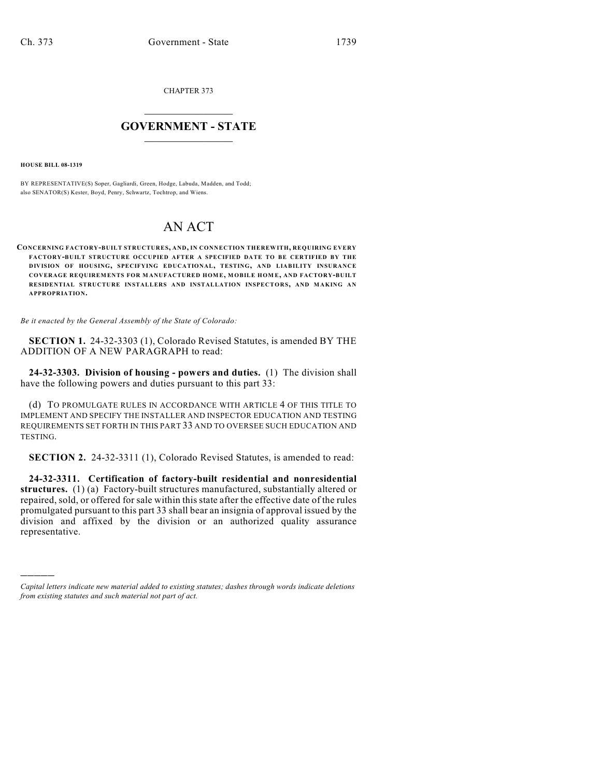CHAPTER 373

## $\mathcal{L}_\text{max}$  . The set of the set of the set of the set of the set of the set of the set of the set of the set of the set of the set of the set of the set of the set of the set of the set of the set of the set of the set **GOVERNMENT - STATE**  $\_$   $\_$   $\_$   $\_$   $\_$   $\_$   $\_$   $\_$

**HOUSE BILL 08-1319**

)))))

BY REPRESENTATIVE(S) Soper, Gagliardi, Green, Hodge, Labuda, Madden, and Todd; also SENATOR(S) Kester, Boyd, Penry, Schwartz, Tochtrop, and Wiens.

## AN ACT

**CONCERNING FACTORY-BUILT STRUCTURES, AND, IN CONNECTION THEREWITH, REQUIRING EVERY FACTORY-BUILT STRUCTURE OCCUPIED AFTER A SPECIFIED DATE TO BE CERTIFIED BY THE DIVISION OF HOUSING, SPECIFYING EDUCATIONAL, TESTING, AND LIABILITY INSURANCE COVERAGE REQUIREM ENTS FOR MANUFACTURED HOM E, MOBILE HOM E, AND FACTORY-BUILT RESIDENTIAL STRUCTURE INSTALLERS AND INSTALLATION INSPECTORS, AND MAKING AN APPROPRIATION.**

*Be it enacted by the General Assembly of the State of Colorado:*

**SECTION 1.** 24-32-3303 (1), Colorado Revised Statutes, is amended BY THE ADDITION OF A NEW PARAGRAPH to read:

**24-32-3303. Division of housing - powers and duties.** (1) The division shall have the following powers and duties pursuant to this part 33:

(d) TO PROMULGATE RULES IN ACCORDANCE WITH ARTICLE 4 OF THIS TITLE TO IMPLEMENT AND SPECIFY THE INSTALLER AND INSPECTOR EDUCATION AND TESTING REQUIREMENTS SET FORTH IN THIS PART 33 AND TO OVERSEE SUCH EDUCATION AND TESTING.

**SECTION 2.** 24-32-3311 (1), Colorado Revised Statutes, is amended to read:

**24-32-3311. Certification of factory-built residential and nonresidential structures.** (1) (a) Factory-built structures manufactured, substantially altered or repaired, sold, or offered for sale within this state after the effective date of the rules promulgated pursuant to this part 33 shall bear an insignia of approval issued by the division and affixed by the division or an authorized quality assurance representative.

*Capital letters indicate new material added to existing statutes; dashes through words indicate deletions from existing statutes and such material not part of act.*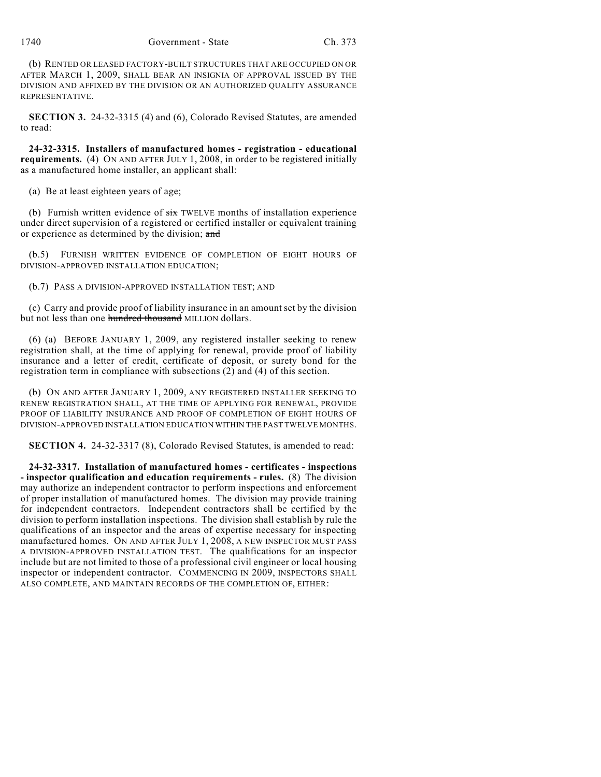(b) RENTED OR LEASED FACTORY-BUILT STRUCTURES THAT ARE OCCUPIED ON OR AFTER MARCH 1, 2009, SHALL BEAR AN INSIGNIA OF APPROVAL ISSUED BY THE DIVISION AND AFFIXED BY THE DIVISION OR AN AUTHORIZED QUALITY ASSURANCE REPRESENTATIVE.

**SECTION 3.** 24-32-3315 (4) and (6), Colorado Revised Statutes, are amended to read:

**24-32-3315. Installers of manufactured homes - registration - educational requirements.** (4) ON AND AFTER JULY 1, 2008, in order to be registered initially as a manufactured home installer, an applicant shall:

(a) Be at least eighteen years of age;

(b) Furnish written evidence of  $\frac{1}{x}$  TWELVE months of installation experience under direct supervision of a registered or certified installer or equivalent training or experience as determined by the division; and

(b.5) FURNISH WRITTEN EVIDENCE OF COMPLETION OF EIGHT HOURS OF DIVISION-APPROVED INSTALLATION EDUCATION;

(b.7) PASS A DIVISION-APPROVED INSTALLATION TEST; AND

(c) Carry and provide proof of liability insurance in an amount set by the division but not less than one hundred thousand MILLION dollars.

(6) (a) BEFORE JANUARY 1, 2009, any registered installer seeking to renew registration shall, at the time of applying for renewal, provide proof of liability insurance and a letter of credit, certificate of deposit, or surety bond for the registration term in compliance with subsections  $(2)$  and  $(4)$  of this section.

(b) ON AND AFTER JANUARY 1, 2009, ANY REGISTERED INSTALLER SEEKING TO RENEW REGISTRATION SHALL, AT THE TIME OF APPLYING FOR RENEWAL, PROVIDE PROOF OF LIABILITY INSURANCE AND PROOF OF COMPLETION OF EIGHT HOURS OF DIVISION-APPROVED INSTALLATION EDUCATION WITHIN THE PAST TWELVE MONTHS.

**SECTION 4.** 24-32-3317 (8), Colorado Revised Statutes, is amended to read:

**24-32-3317. Installation of manufactured homes - certificates - inspections - inspector qualification and education requirements - rules.** (8) The division may authorize an independent contractor to perform inspections and enforcement of proper installation of manufactured homes. The division may provide training for independent contractors. Independent contractors shall be certified by the division to perform installation inspections. The division shall establish by rule the qualifications of an inspector and the areas of expertise necessary for inspecting manufactured homes. ON AND AFTER JULY 1, 2008, A NEW INSPECTOR MUST PASS A DIVISION-APPROVED INSTALLATION TEST. The qualifications for an inspector include but are not limited to those of a professional civil engineer or local housing inspector or independent contractor. COMMENCING IN 2009, INSPECTORS SHALL ALSO COMPLETE, AND MAINTAIN RECORDS OF THE COMPLETION OF, EITHER: